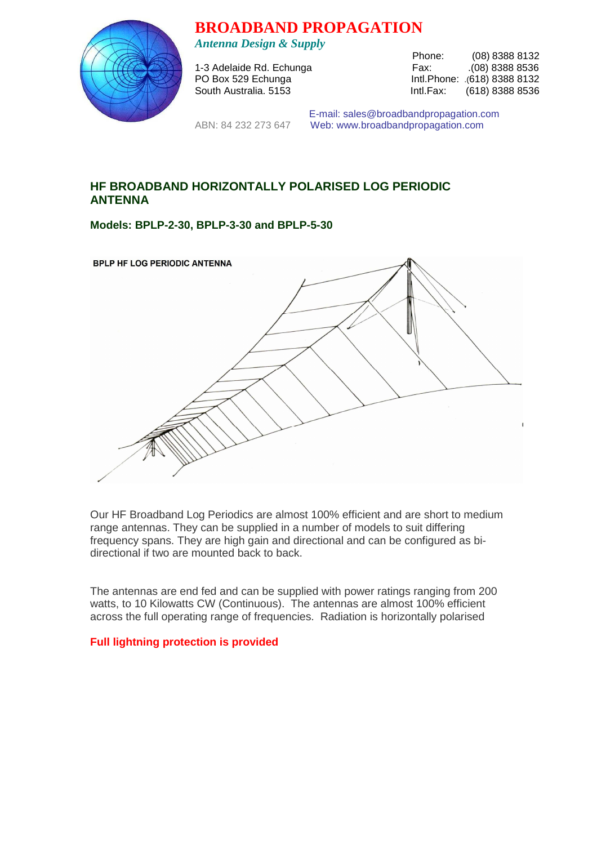

**BROADBAND PROPAGATION** 

*Antenna Design & Supply* 

1-3 Adelaide Rd. Echunga

Phone: (08) 8388 8132<br>Fax: (08) 8388 8536 PO Box 529 Echunga Intl.Phone: .(618) 8388 8132 South Australia. 5153 **Intl.Fax:** (618) 8388 8536

 E-mail: sales@broadbandpropagation.com ABN: 84 232 273 647 Web: www.broadbandpropagation.com

# **HF BROADBAND HORIZONTALLY POLARISED LOG PERIODIC ANTENNA**

**Models: BPLP-2-30, BPLP-3-30 and BPLP-5-30** 

| BPLP HF LOG PERIODIC ANTENNA |
|------------------------------|
|                              |
|                              |
|                              |
|                              |
|                              |

Our HF Broadband Log Periodics are almost 100% efficient and are short to medium range antennas. They can be supplied in a number of models to suit differing frequency spans. They are high gain and directional and can be configured as bidirectional if two are mounted back to back.

The antennas are end fed and can be supplied with power ratings ranging from 200 watts, to 10 Kilowatts CW (Continuous). The antennas are almost 100% efficient across the full operating range of frequencies. Radiation is horizontally polarised

#### **Full lightning protection is provided**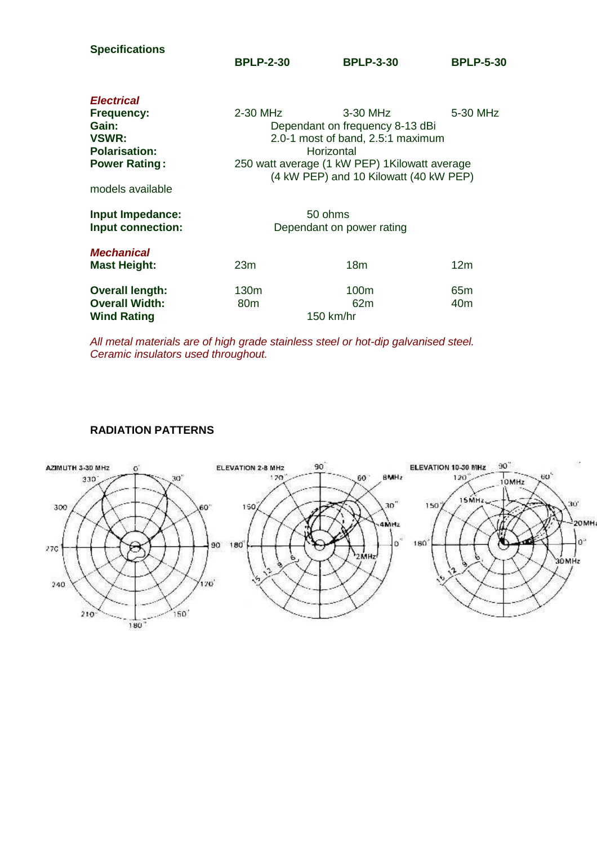| <b>Specifications</b>         | <b>BPLP-2-30</b>                                                                         | <b>BPLP-3-30</b> | <b>BPLP-5-30</b> |  |
|-------------------------------|------------------------------------------------------------------------------------------|------------------|------------------|--|
| <b>Electrical</b>             |                                                                                          |                  |                  |  |
| <b>Frequency:</b>             | 2-30 MHz                                                                                 | 3-30 MHz         | 5-30 MHz         |  |
| Gain:                         | Dependant on frequency 8-13 dBi                                                          |                  |                  |  |
| VSWR:<br><b>Polarisation:</b> | 2.0-1 most of band, 2.5:1 maximum<br>Horizontal                                          |                  |                  |  |
| <b>Power Rating:</b>          | 250 watt average (1 kW PEP) 1 Kilowatt average<br>(4 kW PEP) and 10 Kilowatt (40 kW PEP) |                  |                  |  |
|                               |                                                                                          |                  |                  |  |
| models available              |                                                                                          |                  |                  |  |
| Input Impedance:              | 50 ohms                                                                                  |                  |                  |  |
| Input connection:             | Dependant on power rating                                                                |                  |                  |  |
| <b>Mechanical</b>             |                                                                                          |                  |                  |  |
| <b>Mast Height:</b>           | 23m                                                                                      | 18 <sub>m</sub>  | 12 <sub>m</sub>  |  |
| <b>Overall length:</b>        | 130 <sub>m</sub>                                                                         | 100 <sub>m</sub> | 65 <sub>m</sub>  |  |
| <b>Overall Width:</b>         | 80 <sub>m</sub>                                                                          | 62m              | 40m              |  |
| <b>Wind Rating</b>            | 150 km/hr                                                                                |                  |                  |  |

All metal materials are of high grade stainless steel or hot-dip galvanised steel. Ceramic insulators used throughout.

## **RADIATION PATTERNS**

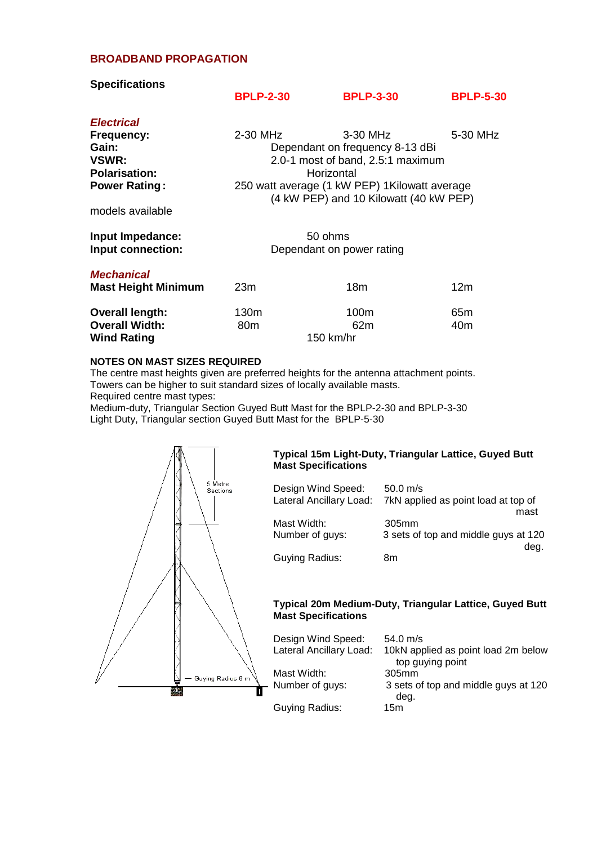## **BROADBAND PROPAGATION**

| <b>Specifications</b>                                                               |                                                                                                                                                                          |                                        |                  |
|-------------------------------------------------------------------------------------|--------------------------------------------------------------------------------------------------------------------------------------------------------------------------|----------------------------------------|------------------|
|                                                                                     | <b>BPLP-2-30</b>                                                                                                                                                         | <b>BPLP-3-30</b>                       | <b>BPLP-5-30</b> |
| <b>Electrical</b>                                                                   |                                                                                                                                                                          |                                        |                  |
| <b>Frequency:</b><br>Gain:<br>VSWR:<br><b>Polarisation:</b><br><b>Power Rating:</b> | 2-30 MHz<br>3-30 MHz<br>5-30 MHz<br>Dependant on frequency 8-13 dBi<br>2.0-1 most of band, 2.5:1 maximum<br>Horizontal<br>250 watt average (1 kW PEP) 1 Kilowatt average |                                        |                  |
| models available                                                                    |                                                                                                                                                                          | (4 kW PEP) and 10 Kilowatt (40 kW PEP) |                  |
| Input Impedance:<br>Input connection:                                               | 50 ohms<br>Dependant on power rating                                                                                                                                     |                                        |                  |
| <b>Mechanical</b><br><b>Mast Height Minimum</b>                                     | 23m                                                                                                                                                                      | 18 <sub>m</sub>                        | 12 <sub>m</sub>  |
| <b>Overall length:</b><br><b>Overall Width:</b><br><b>Wind Rating</b>               | 130m<br>80 <sub>m</sub><br>150 km/hr                                                                                                                                     | 100m<br>62m                            | 65m<br>40m       |

#### **NOTES ON MAST SIZES REQUIRED**

The centre mast heights given are preferred heights for the antenna attachment points. Towers can be higher to suit standard sizes of locally available masts.

Required centre mast types:

Medium-duty, Triangular Section Guyed Butt Mast for the BPLP-2-30 and BPLP-3-30 Light Duty, Triangular section Guyed Butt Mast for the BPLP-5-30